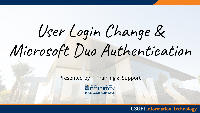# User Login Change & Microsoft Duo Authentication

Presented by IT Training & Support

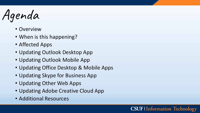Agenda

- Overview
- When is this happening?
- Affected Apps
- Updating Outlook Desktop App
- Updating Outlook Mobile App
- Updating Office Desktop & Mobile Apps

- Updating Skype for Business App
- Updating Other Web Apps
- Updating Adobe Creative Cloud App
- Additional Resources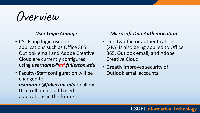Overview

#### *User Login Change*

- CSUF app login used on applications such as Office 365, Outlook email and Adobe Creative Cloud are currently configured using *username@ad.fullerton.edu*
- Faculty/Staff configuration will be changed to *username@fullerton.edu* to allow IT to roll out cloud-based applications in the future.

#### *Microsoft Duo Authentication*

- Duo two-factor authentication (2FA) is also being applied to Office 365, Outlook email, and Adobe Creative Cloud.
- Greatly improves security of Outlook email accounts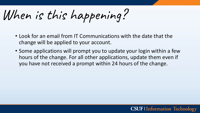When is this happening?

- Look for an email from IT Communications with the date that the change will be applied to your account.
- Some applications will prompt you to update your login within a few hours of the change. For all other applications, update them even if you have not received a prompt within 24 hours of the change.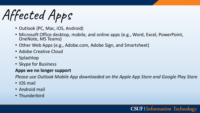Affected Apps

- Outlook (PC, Mac, iOS, Android)
- Microsoft Office desktop, mobile, and online apps (e.g., Word, Excel, PowerPoint, OneNote, MS Teams)
- Other Web Apps (e.g., Adobe.com, Adobe Sign, and Smartsheet)
- Adobe Creative Cloud
- Splashtop
- Skype for Business

#### **Apps we no longer support**

*Please use Outlook Mobile App downloaded on the Apple App Store and Google Play Store*

- iOS mail
- Android mail
- Thunderbird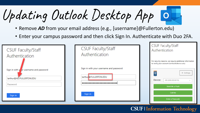Updating Outlook Desktop App

- Remove *AD* from your email address (e.g., [username]@Fullerton.edu)
- Enter your campus password and then click Sign In. Authenticate with Duo 2FA.



| <b>CSUF Faculty/Staff</b><br>Authentication                      | <b>CSUF Faculty/Staff</b><br>Authentication                                                                                                                                                   |
|------------------------------------------------------------------|-----------------------------------------------------------------------------------------------------------------------------------------------------------------------------------------------|
| Sign in with your username and password<br>larthur@FULLERTON.EDU | For security reasons, we require additional information<br>to verify your account (larthur@fullerton.edu)<br><b>SEP</b><br>$\equiv$ Settings<br>Device:<br>iOS (XXX-XXX-8115)<br>$\checkmark$ |
|                                                                  | Send Me a Push                                                                                                                                                                                |
| Sign in                                                          | Call Me                                                                                                                                                                                       |
|                                                                  | <b>Enter a Passcode</b>                                                                                                                                                                       |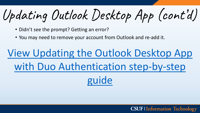Updating Outlook Desktop App (cont'd)

- Didn't see the prompt? Getting an error?
- You may need to remove your account from Outlook and re-add it.

### View Updating the Outlook Desktop App [with Duo Authentication step-by-step](https://csuf.screenstepslive.com/s/12867/m/100706/l/1344344-updating-the-outlook-desktop-app-with-duo-authentication)  guide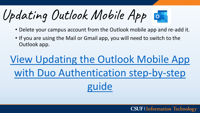Updating Outlook Mobile App

- Delete your campus account from the Outlook mobile app and re-add it.
- If you are using the Mail or Gmail app, you will need to switch to the Outlook app.

# View Updating the Outlook Mobile App [with Duo Authentication step-by-step](https://csuf.screenstepslive.com/s/12867/m/100706/l/1344345-updating-the-outlook-mobile-app-with-duo-authentication)  guide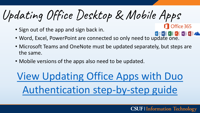Updating Office Desktop & Mobile Apps

- Sign out of the app and sign back in.
- **Ending the connected so only need to update one.**<br>• Word, Excel, PowerPoint are connected so only need to update one.
- Microsoft Teams and OneNote must be updated separately, but steps are the same.
- Mobile versions of the apps also need to be updated.

[View Updating Office Apps with Duo](https://csuf.screenstepslive.com/s/12867/m/100706/l/1344346-updating-office-apps-with-duo-authentication)  Authentication step-by-step guide

Office 365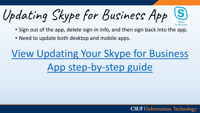Updating Skype for Business App

- Sign out of the app, delete sign-in info, and then sign back into the app.
- Need to update both desktop and mobile apps.

# [View Updating Your Skype for Business](https://csuf.screenstepslive.com/s/12867/m/100706/l/1344668-updating-skype-for-business-app-with-duo-authentication)  App step-by-step guide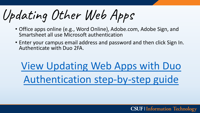Updating Other Web Apps

- Office apps online (e.g., Word Online), Adobe.com, Adobe Sign, and Smartsheet all use Microsoft authentication
- Enter your campus email address and password and then click Sign In. Authenticate with Duo 2FA.

# View Updating Web Apps with Duo [Authentication step-by-step guide](https://csuf.screenstepslive.com/s/12867/m/100706/l/1344348-updating-web-apps-with-duo-authentication)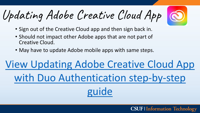Updating Adobe Creative Cloud App

- Sign out of the Creative Cloud app and then sign back in.
- Should not impact other Adobe apps that are not part of Creative Cloud.
- May have to update Adobe mobile apps with same steps.

# [View Updating Adobe Creative Cloud App](https://csuf.screenstepslive.com/s/12867/m/100706/l/1344347-updating-adobe-creative-cloud-app-with-duo-authentication) with Duo Authentication step-by-step guide